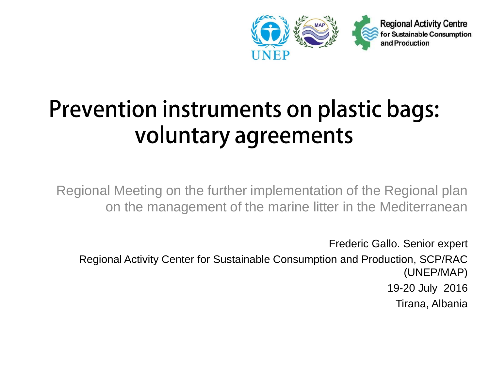

## Prevention instruments on plastic bags: voluntary agreements

Regional Meeting on the further implementation of the Regional plan on the management of the marine litter in the Mediterranean

Frederic Gallo. Senior expert Regional Activity Center for Sustainable Consumption and Production, SCP/RAC (UNEP/MAP) 19-20 July 2016 Tirana, Albania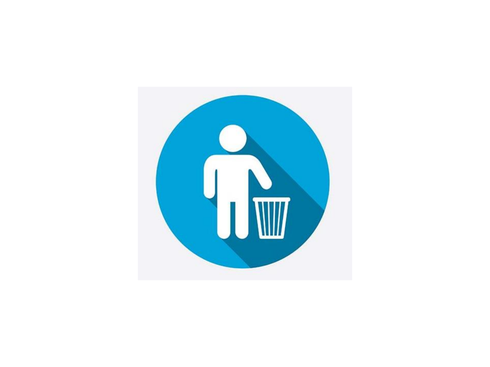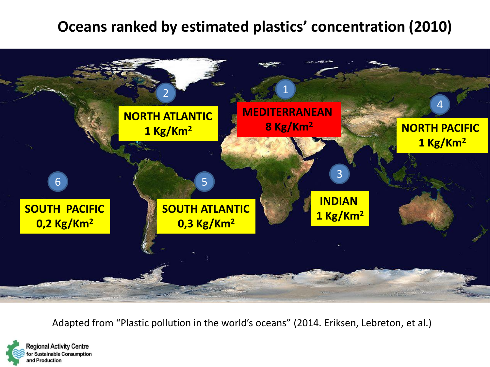### **Oceans ranked by estimated plastics' concentration (2010)**



Adapted from "Plastic pollution in the world's oceans" (2014. Eriksen, Lebreton, et al.)

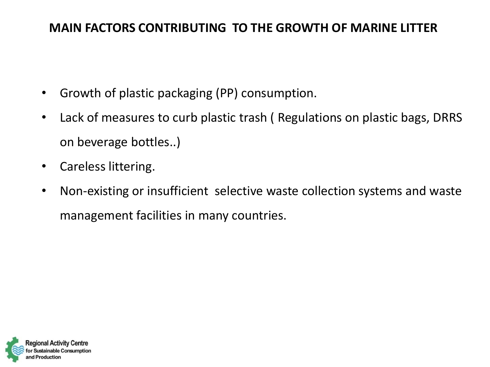#### **MAIN FACTORS CONTRIBUTING TO THE GROWTH OF MARINE LITTER**

- Growth of plastic packaging (PP) consumption.
- Lack of measures to curb plastic trash (Regulations on plastic bags, DRRS on beverage bottles..)
- Careless littering.
- Non-existing or insufficient selective waste collection systems and waste management facilities in many countries.

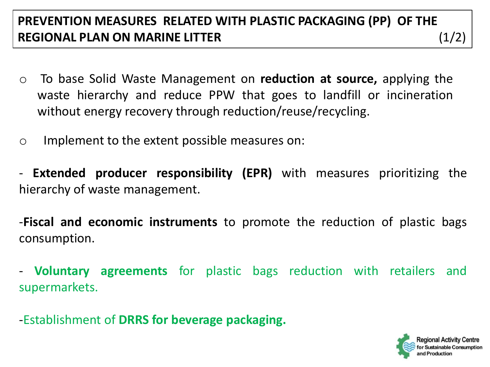### **PREVENTION MEASURES RELATED WITH PLASTIC PACKAGING (PP) OF THE REGIONAL PLAN ON MARINE LITTER** (1/2)

- o To base Solid Waste Management on **reduction at source,** applying the waste hierarchy and reduce PPW that goes to landfill or incineration without energy recovery through reduction/reuse/recycling.
- o Implement to the extent possible measures on:
- **Extended producer responsibility (EPR)** with measures prioritizing the hierarchy of waste management.

-**Fiscal and economic instruments** to promote the reduction of plastic bags consumption.

- **Voluntary agreements** for plastic bags reduction with retailers and supermarkets.

-Establishment of **DRRS for beverage packaging.**

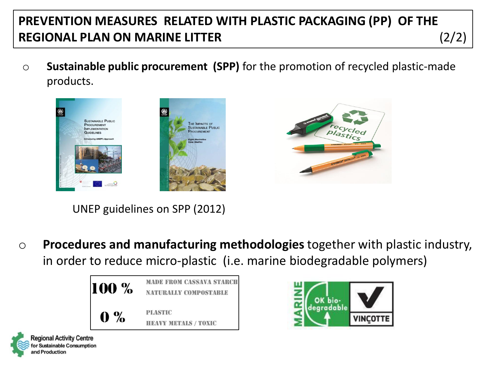### **PREVENTION MEASURES RELATED WITH PLASTIC PACKAGING (PP) OF THE REGIONAL PLAN ON MARINE LITTER** (2/2)

o **Sustainable public procurement (SPP)** for the promotion of recycled plastic-made products.



UNEP guidelines on SPP (2012)

o **Procedures and manufacturing methodologies** together with plastic industry, in order to reduce micro-plastic (i.e. marine biodegradable polymers)





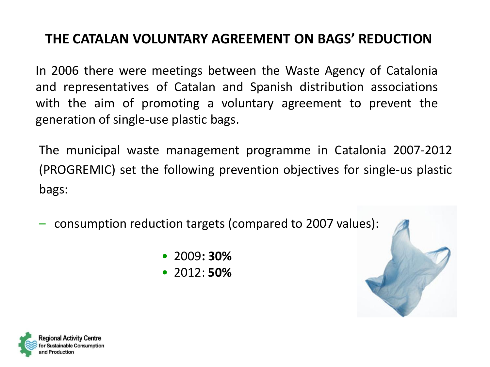### **THE CATALAN VOLUNTARY AGREEMENT ON BAGS' REDUCTION**

In 2006 there were meetings between the Waste Agency of Catalonia and representatives of Catalan and Spanish distribution associations with the aim of promoting a voluntary agreement to prevent the generation of single-use plastic bags.

The municipal waste management programme in Catalonia 2007-2012 (PROGREMIC) set the following prevention objectives for single-us plastic bags:

- consumption reduction targets (compared to 2007 values):
	- 2009**: 30%** • 2012: **50%**



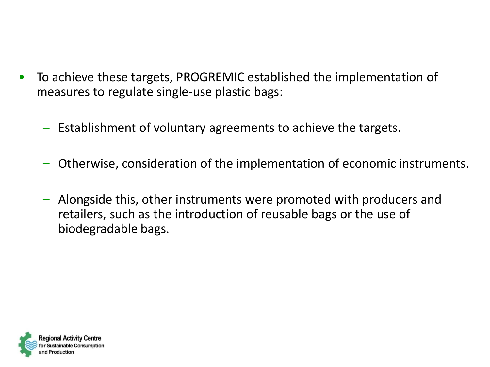- To achieve these targets, PROGREMIC established the implementation of measures to regulate single-use plastic bags:
	- Establishment of voluntary agreements to achieve the targets.
	- Otherwise, consideration of the implementation of economic instruments.
	- Alongside this, other instruments were promoted with producers and retailers, such as the introduction of reusable bags or the use of biodegradable bags.

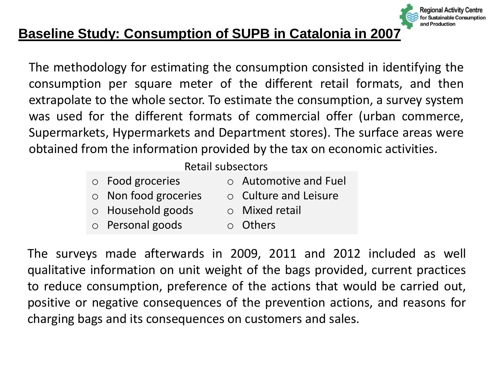#### for Sustainable Consumption and Production **Baseline Study: Consumption of SUPB in Catalonia in 2007**

**Regional Activity Centre** 

The methodology for estimating the consumption consisted in identifying the consumption per square meter of the different retail formats, and then extrapolate to the whole sector. To estimate the consumption, a survey system was used for the different formats of commercial offer (urban commerce, Supermarkets, Hypermarkets and Department stores). The surface areas were obtained from the information provided by the tax on economic activities.

#### Retail subsectors

|                                                                                                           | o Automotive and Fuel       |
|-----------------------------------------------------------------------------------------------------------|-----------------------------|
|                                                                                                           | $\circ$ Culture and Leisure |
|                                                                                                           | $\circ$ Mixed retail        |
|                                                                                                           | ○ Others                    |
| $\circ$ Food groceries<br>$\circ$ Non food groceries<br>$\circ$ Household goods<br>$\circ$ Personal goods |                             |

The surveys made afterwards in 2009, 2011 and 2012 included as well qualitative information on unit weight of the bags provided, current practices to reduce consumption, preference of the actions that would be carried out, positive or negative consequences of the prevention actions, and reasons for charging bags and its consequences on customers and sales.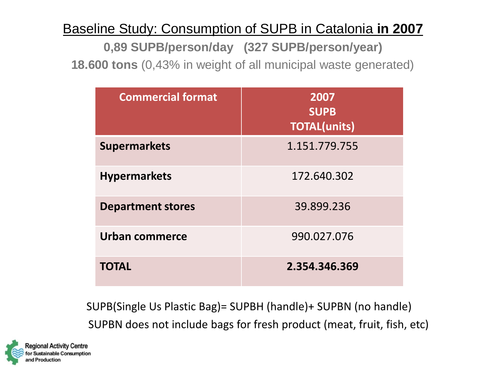#### Baseline Study: Consumption of SUPB in Catalonia **in 2007**

**0,89 SUPB/person/day (327 SUPB/person/year) 18.600 tons** (0,43% in weight of all municipal waste generated)

| <b>Commercial format</b> | 2007<br><b>SUPB</b><br><b>TOTAL(units)</b> |
|--------------------------|--------------------------------------------|
| <b>Supermarkets</b>      | 1.151.779.755                              |
| <b>Hypermarkets</b>      | 172.640.302                                |
| <b>Department stores</b> | 39.899.236                                 |
| Urban commerce           | 990.027.076                                |
| <b>TOTAL</b>             | 2.354.346.369                              |

SUPB(Single Us Plastic Bag)= SUPBH (handle)+ SUPBN (no handle) SUPBN does not include bags for fresh product (meat, fruit, fish, etc)

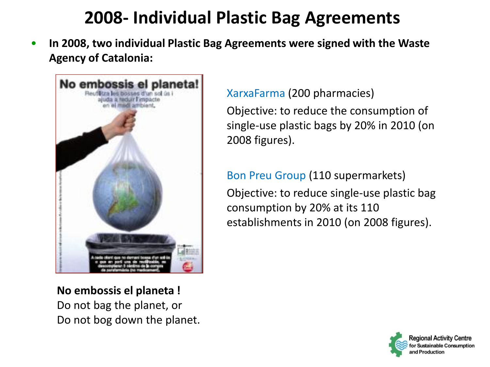### **2008- Individual Plastic Bag Agreements**

• **In 2008, two individual Plastic Bag Agreements were signed with the Waste Agency of Catalonia:**



**No embossis el planeta !**  Do not bag the planet, or Do not bog down the planet. XarxaFarma (200 pharmacies)

Objective: to reduce the consumption of single-use plastic bags by 20% in 2010 (on 2008 figures).

Bon Preu Group (110 supermarkets)

 Objective: to reduce single-use plastic bag consumption by 20% at its 110 establishments in 2010 (on 2008 figures).

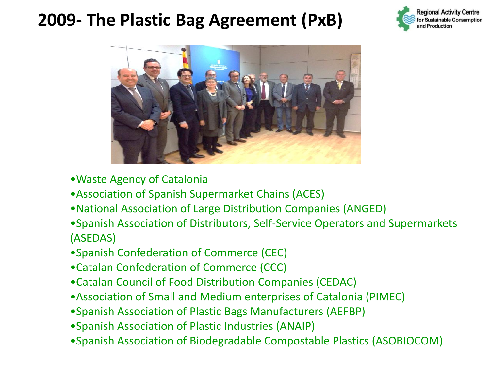### **2009- The Plastic Bag Agreement (PxB)**





- •Waste Agency of Catalonia
- •Association of Spanish Supermarket Chains (ACES)
- •National Association of Large Distribution Companies (ANGED)
- •Spanish Association of Distributors, Self-Service Operators and Supermarkets (ASEDAS)
- •Spanish Confederation of Commerce (CEC)
- •Catalan Confederation of Commerce (CCC)
- •Catalan Council of Food Distribution Companies (CEDAC)
- •Association of Small and Medium enterprises of Catalonia (PIMEC)
- •Spanish Association of Plastic Bags Manufacturers (AEFBP)
- •Spanish Association of Plastic Industries (ANAIP)
- •Spanish Association of Biodegradable Compostable Plastics (ASOBIOCOM)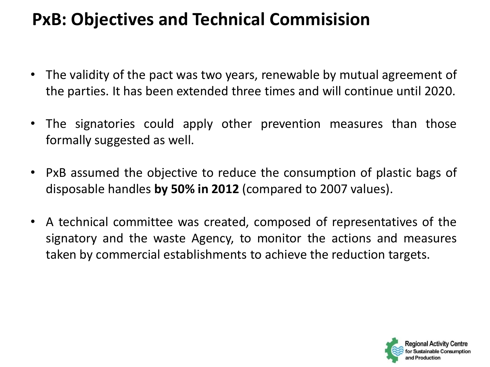### **PxB: Objectives and Technical Commisision**

- The validity of the pact was two years, renewable by mutual agreement of the parties. It has been extended three times and will continue until 2020.
- The signatories could apply other prevention measures than those formally suggested as well.
- PxB assumed the objective to reduce the consumption of plastic bags of disposable handles **by 50% in 2012** (compared to 2007 values).
- A technical committee was created, composed of representatives of the signatory and the waste Agency, to monitor the actions and measures taken by commercial establishments to achieve the reduction targets.

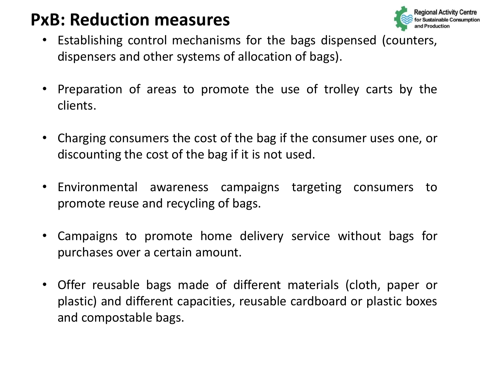### **PxB: Reduction measures**



- Establishing control mechanisms for the bags dispensed (counters, dispensers and other systems of allocation of bags).
- Preparation of areas to promote the use of trolley carts by the clients.
- Charging consumers the cost of the bag if the consumer uses one, or discounting the cost of the bag if it is not used.
- Environmental awareness campaigns targeting consumers to promote reuse and recycling of bags.
- Campaigns to promote home delivery service without bags for purchases over a certain amount.
- Offer reusable bags made of different materials (cloth, paper or plastic) and different capacities, reusable cardboard or plastic boxes and compostable bags.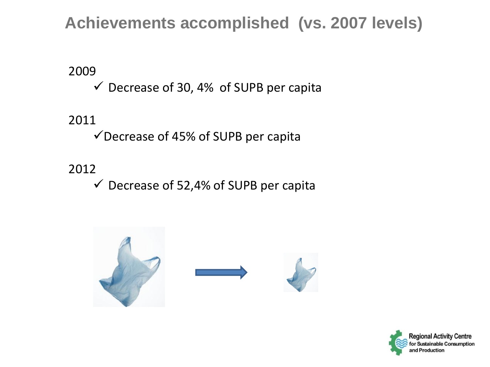**Achievements accomplished (vs. 2007 levels)**

2009

 $\checkmark$  Decrease of 30, 4% of SUPB per capita

2011

 $\checkmark$  Decrease of 45% of SUPB per capita

2012

 $\checkmark$  Decrease of 52,4% of SUPB per capita



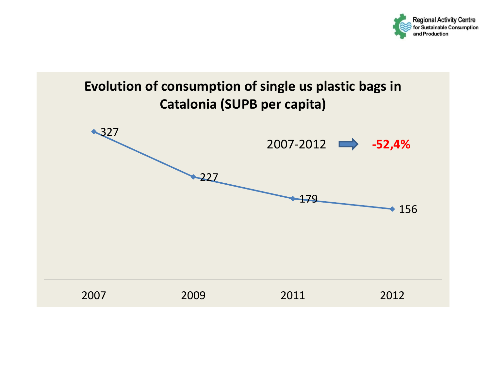

# 327 227 179  $\div$  156 2007 2009 2011 2012 **Evolution of consumption of single us plastic bags in Catalonia (SUPB per capita)** 2007-2012 **-52,4%**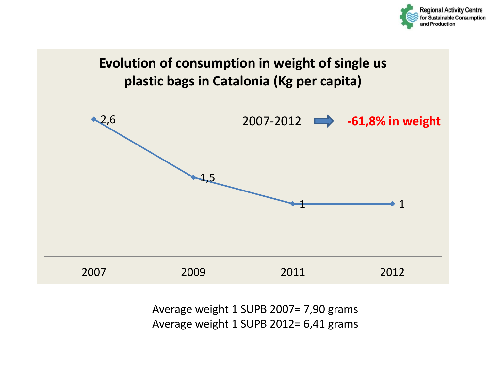



Average weight 1 SUPB 2007= 7,90 grams Average weight 1 SUPB 2012= 6,41 grams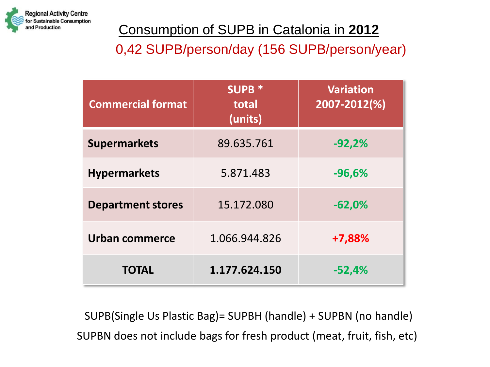

#### Consumption of SUPB in Catalonia in **2012**

0,42 SUPB/person/day (156 SUPB/person/year)

| <b>Commercial format</b> | <b>SUPB *</b><br>total<br>(units) | <b>Variation</b><br>2007-2012(%) |
|--------------------------|-----------------------------------|----------------------------------|
| <b>Supermarkets</b>      | 89.635.761                        | $-92,2%$                         |
| <b>Hypermarkets</b>      | 5.871.483                         | $-96,6%$                         |
| <b>Department stores</b> | 15.172.080                        | $-62,0%$                         |
| <b>Urban commerce</b>    | 1.066.944.826                     | +7,88%                           |
| <b>TOTAL</b>             | 1.177.624.150                     | $-52,4%$                         |

SUPB(Single Us Plastic Bag)= SUPBH (handle) + SUPBN (no handle) SUPBN does not include bags for fresh product (meat, fruit, fish, etc)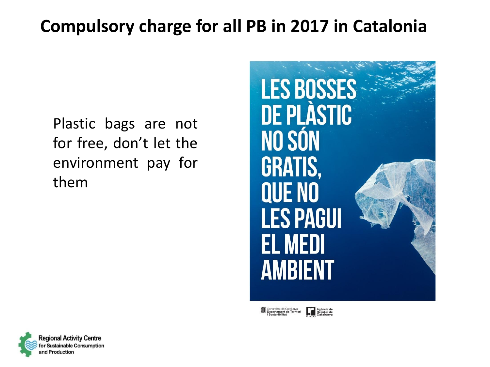## **Compulsory charge for all PB in 2017 in Catalonia**

Plastic bags are not for free, don't let the environment pay for them



Agència de<br>Residus de<br>Catalunya

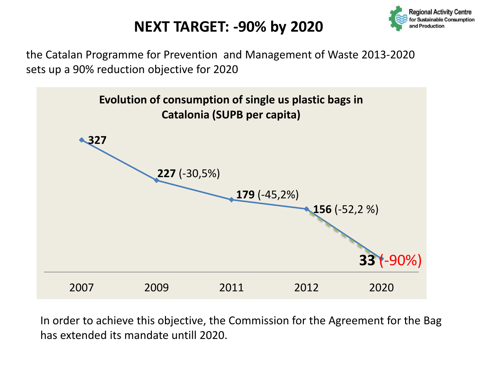### **NEXT TARGET: -90% by 2020**



the Catalan Programme for Prevention and Management of Waste 2013-2020 sets up a 90% reduction objective for 2020



In order to achieve this objective, the Commission for the Agreement for the Bag has extended its mandate untill 2020.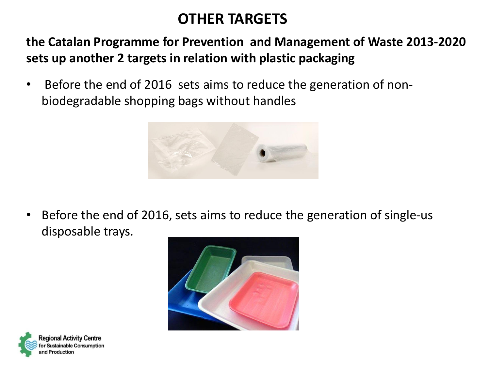### **OTHER TARGETS**

#### **the Catalan Programme for Prevention and Management of Waste 2013-2020 sets up another 2 targets in relation with plastic packaging**

• Before the end of 2016 sets aims to reduce the generation of nonbiodegradable shopping bags without handles



• Before the end of 2016, sets aims to reduce the generation of single-us disposable trays.



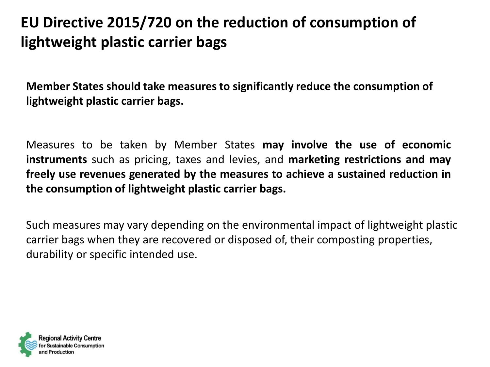### **EU Directive 2015/720 on the reduction of consumption of lightweight plastic carrier bags**

**Member States should take measures to significantly reduce the consumption of lightweight plastic carrier bags.**

Measures to be taken by Member States **may involve the use of economic instruments** such as pricing, taxes and levies, and **marketing restrictions and may freely use revenues generated by the measures to achieve a sustained reduction in the consumption of lightweight plastic carrier bags.**

Such measures may vary depending on the environmental impact of lightweight plastic carrier bags when they are recovered or disposed of, their composting properties, durability or specific intended use.

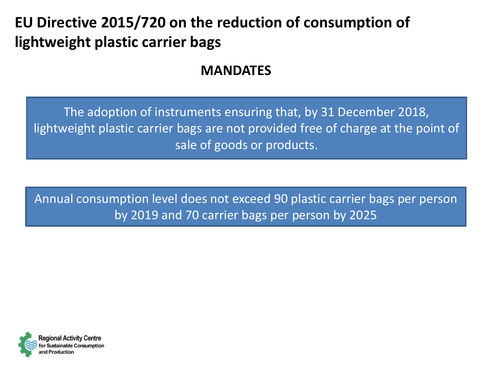### **EU Directive 2015/720 on the reduction of consumption of lightweight plastic carrier bags**

#### **MANDATES**

The adoption of instruments ensuring that, by 31 December 2018, lightweight plastic carrier bags are not provided free of charge at the point of sale of goods or products.

Annual consumption level does not exceed 90 plastic carrier bags per person by 2019 and 70 carrier bags per person by 2025